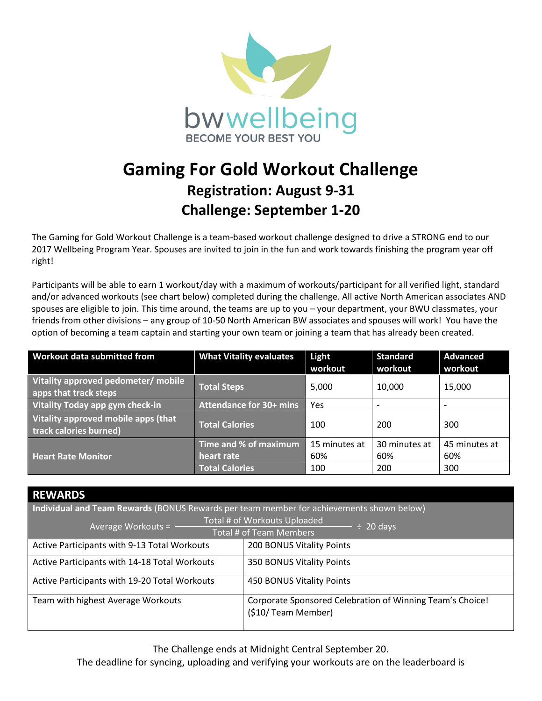

## **Gaming For Gold Workout Challenge Registration: August 9-31 Challenge: September 1-20**

The Gaming for Gold Workout Challenge is a team-based workout challenge designed to drive a STRONG end to our 2017 Wellbeing Program Year. Spouses are invited to join in the fun and work towards finishing the program year off right!

Participants will be able to earn 1 workout/day with a maximum of workouts/participant for all verified light, standard and/or advanced workouts (see chart below) completed during the challenge. All active North American associates AND spouses are eligible to join. This time around, the teams are up to you – your department, your BWU classmates, your friends from other divisions – any group of 10-50 North American BW associates and spouses will work! You have the option of becoming a team captain and starting your own team or joining a team that has already been created.

| Workout data submitted from                                   | <b>What Vitality evaluates</b> | Light<br>workout | <b>Standard</b><br>workout | <b>Advanced</b><br>workout |
|---------------------------------------------------------------|--------------------------------|------------------|----------------------------|----------------------------|
| Vitality approved pedometer/ mobile<br>apps that track steps  | <b>Total Steps</b>             | 5,000            | 10,000                     | 15,000                     |
| Vitality Today app gym check-in                               | <b>Attendance for 30+ mins</b> | Yes              | $\overline{\phantom{a}}$   | $\overline{\phantom{0}}$   |
| Vitality approved mobile apps (that<br>track calories burned) | <b>Total Calories</b>          | 100              | 200                        | 300                        |
| <b>Heart Rate Monitor</b>                                     | Time and % of maximum          | 15 minutes at    | 30 minutes at              | 45 minutes at              |
|                                                               | heart rate                     | 60%              | 60%                        | 60%                        |
|                                                               | <b>Total Calories</b>          | 100              | 200                        | 300                        |

| <b>REWARDS</b>                                                                           |                                                                                  |  |  |  |
|------------------------------------------------------------------------------------------|----------------------------------------------------------------------------------|--|--|--|
| Individual and Team Rewards (BONUS Rewards per team member for achievements shown below) |                                                                                  |  |  |  |
| Average Workouts = $-$                                                                   | Total # of Workouts Uploaded<br>$\div$ 20 days                                   |  |  |  |
| Total # of Team Members                                                                  |                                                                                  |  |  |  |
| Active Participants with 9-13 Total Workouts                                             | 200 BONUS Vitality Points                                                        |  |  |  |
| Active Participants with 14-18 Total Workouts                                            | 350 BONUS Vitality Points                                                        |  |  |  |
| Active Participants with 19-20 Total Workouts                                            | 450 BONUS Vitality Points                                                        |  |  |  |
| Team with highest Average Workouts                                                       | Corporate Sponsored Celebration of Winning Team's Choice!<br>(\$10/ Team Member) |  |  |  |

The Challenge ends at Midnight Central September 20.

The deadline for syncing, uploading and verifying your workouts are on the leaderboard is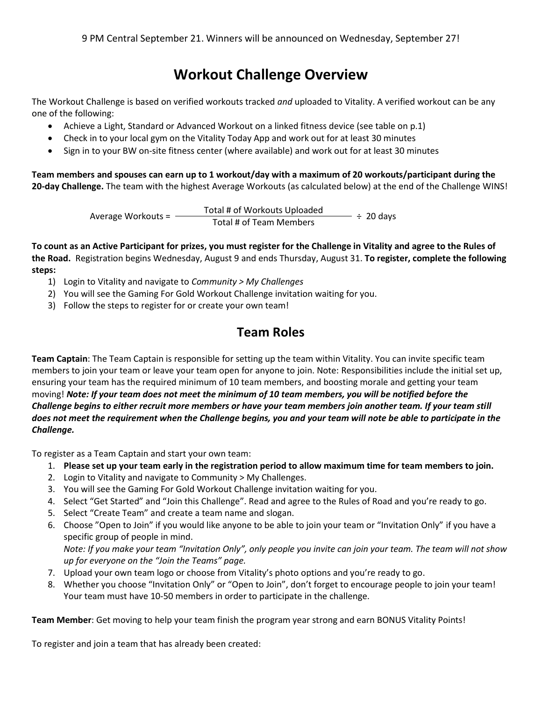## **Workout Challenge Overview**

The Workout Challenge is based on verified workouts tracked *and* uploaded to Vitality. A verified workout can be any one of the following:

- Achieve a Light, Standard or Advanced Workout on a linked fitness device (see table on p.1)
- Check in to your local gym on the Vitality Today App and work out for at least 30 minutes
- Sign in to your BW on-site fitness center (where available) and work out for at least 30 minutes

**Team members and spouses can earn up to 1 workout/day with a maximum of 20 workouts/participant during the 20-day Challenge.** The team with the highest Average Workouts (as calculated below) at the end of the Challenge WINS!

Average Workouts =  $\frac{\text{Total }\# \text{ of Workouts Unloaded}}{\text{Total }\# \text{ of Team Members}} \div 20 \text{ days}$ 

**To count as an Active Participant for prizes, you must register for the Challenge in Vitality and agree to the Rules of the Road.** Registration begins Wednesday, August 9 and ends Thursday, August 31. **To register, complete the following steps:**

- 1) Login to Vitality and navigate to *Community > My Challenges*
- 2) You will see the Gaming For Gold Workout Challenge invitation waiting for you.
- 3) Follow the steps to register for or create your own team!

## **Team Roles**

**Team Captain**: The Team Captain is responsible for setting up the team within Vitality. You can invite specific team members to join your team or leave your team open for anyone to join. Note: Responsibilities include the initial set up, ensuring your team has the required minimum of 10 team members, and boosting morale and getting your team moving! *Note: If your team does not meet the minimum of 10 team members, you will be notified before the Challenge begins to either recruit more members or have your team members join another team. If your team still does not meet the requirement when the Challenge begins, you and your team will note be able to participate in the Challenge.*

To register as a Team Captain and start your own team:

- 1. **Please set up your team early in the registration period to allow maximum time for team members to join.**
- 2. Login to Vitality and navigate to Community > My Challenges.
- 3. You will see the Gaming For Gold Workout Challenge invitation waiting for you.
- 4. Select "Get Started" and "Join this Challenge". Read and agree to the Rules of Road and you're ready to go.
- 5. Select "Create Team" and create a team name and slogan.
- 6. Choose "Open to Join" if you would like anyone to be able to join your team or "Invitation Only" if you have a specific group of people in mind.

*Note: If you make your team "Invitation Only", only people you invite can join your team. The team will not show up for everyone on the "Join the Teams" page.*

- 7. Upload your own team logo or choose from Vitality's photo options and you're ready to go.
- 8. Whether you choose "Invitation Only" or "Open to Join", don't forget to encourage people to join your team! Your team must have 10-50 members in order to participate in the challenge.

**Team Member**: Get moving to help your team finish the program year strong and earn BONUS Vitality Points!

To register and join a team that has already been created: